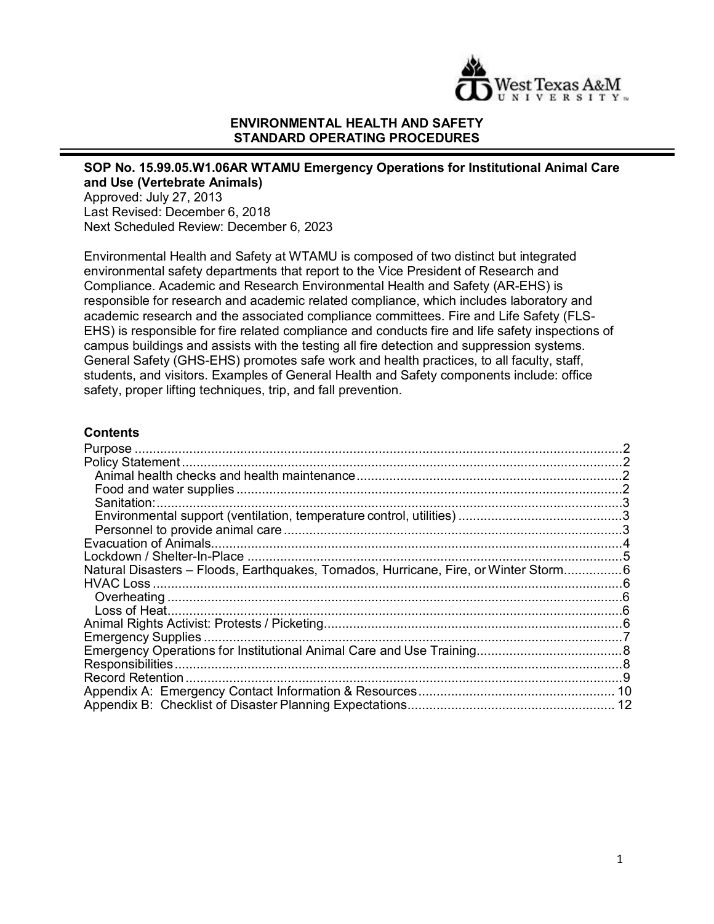

#### **ENVIRONMENTAL HEALTH AND SAFETY STANDARD OPERATING PROCEDURES**

#### **SOP No. 15.99.05.W1.06AR WTAMU Emergency Operations for Institutional Animal Care and Use (Vertebrate Animals)**

Approved: July 27, 2013 Last Revised: December 6, 2018 Next Scheduled Review: December 6, 2023

Environmental Health and Safety at WTAMU is composed of two distinct but integrated environmental safety departments that report to the Vice President of Research and Compliance. Academic and Research Environmental Health and Safety (AR-EHS) is responsible for research and academic related compliance, which includes laboratory and academic research and the associated compliance committees. Fire and Life Safety (FLS-EHS) is responsible for fire related compliance and conducts fire and life safety inspections of campus buildings and assists with the testing all fire detection and suppression systems. General Safety (GHS-EHS) promotes safe work and health practices, to all faculty, staff, students, and visitors. Examples of General Health and Safety components include: office safety, proper lifting techniques, trip, and fall prevention.

#### **Contents**

<span id="page-0-0"></span>

| Natural Disasters - Floods, Earthquakes, Tornados, Hurricane, Fire, or Winter Storm6 |
|--------------------------------------------------------------------------------------|
|                                                                                      |
|                                                                                      |
|                                                                                      |
|                                                                                      |
|                                                                                      |
|                                                                                      |
|                                                                                      |
|                                                                                      |
|                                                                                      |
|                                                                                      |
|                                                                                      |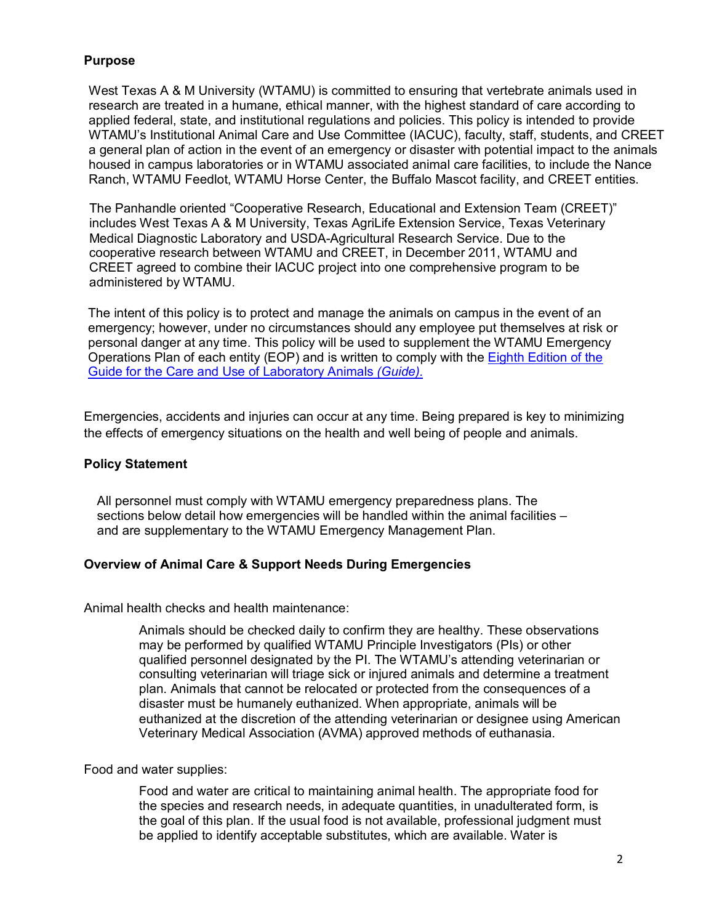# **Purpose**

West Texas A & M University (WTAMU) is committed to ensuring that vertebrate animals used in research are treated in a humane, ethical manner, with the highest standard of care according to applied federal, state, and institutional regulations and policies. This policy is intended to provide WTAMU's Institutional Animal Care and Use Committee (IACUC), faculty, staff, students, and CREET a general plan of action in the event of an emergency or disaster with potential impact to the animals housed in campus laboratories or in WTAMU associated animal care facilities, to include the Nance Ranch, WTAMU Feedlot, WTAMU Horse Center, the Buffalo Mascot facility, and CREET entities.

The Panhandle oriented "Cooperative Research, Educational and Extension Team (CREET)" includes West Texas A & M University, Texas AgriLife Extension Service, Texas Veterinary Medical Diagnostic Laboratory and USDA-Agricultural Research Service. Due to the cooperative research between WTAMU and CREET, in December 2011, WTAMU and CREET agreed to combine their IACUC project into one comprehensive program to be administered by WTAMU.

The intent of this policy is to protect and manage the animals on campus in the event of an emergency; however, under no circumstances should any employee put themselves at risk or personal danger at any time. This policy will be used to supplement the WTAMU Emergency Operations Plan of each entity (EOP) and is written to comply with the [Eighth Edition of the](http://www.nap.edu/openbook.php?record_id=5140) [Guide for the Care and Use of Laboratory Animals](http://www.nap.edu/openbook.php?record_id=5140) *(Guide).*

Emergencies, accidents and injuries can occur at any time. Being prepared is key to minimizing the effects of emergency situations on the health and well being of people and animals.

#### <span id="page-1-0"></span>**Policy Statement**

All personnel must comply with WTAMU emergency preparedness plans. The sections below detail how emergencies will be handled within the animal facilities – and are supplementary to the WTAMU Emergency Management Plan.

## **Overview of Animal Care & Support Needs During Emergencies**

<span id="page-1-1"></span>Animal health checks and health maintenance:

Animals should be checked daily to confirm they are healthy. These observations may be performed by qualified WTAMU Principle Investigators (PIs) or other qualified personnel designated by the PI. The WTAMU's attending veterinarian or consulting veterinarian will triage sick or injured animals and determine a treatment plan. Animals that cannot be relocated or protected from the consequences of a disaster must be humanely euthanized. When appropriate, animals will be euthanized at the discretion of the attending veterinarian or designee using American Veterinary Medical Association (AVMA) approved methods of euthanasia.

#### <span id="page-1-2"></span>Food and water supplies:

Food and water are critical to maintaining animal health. The appropriate food for the species and research needs, in adequate quantities, in unadulterated form, is the goal of this plan. If the usual food is not available, professional judgment must be applied to identify acceptable substitutes, which are available. Water is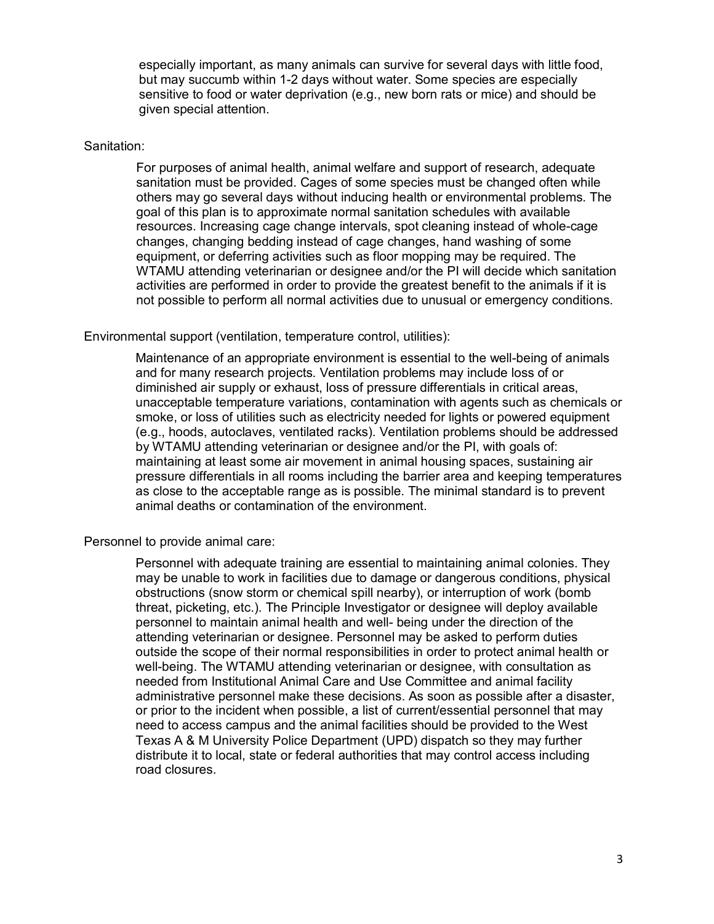especially important, as many animals can survive for several days with little food, but may succumb within 1-2 days without water. Some species are especially sensitive to food or water deprivation (e.g., new born rats or mice) and should be given special attention.

#### <span id="page-2-0"></span>Sanitation:

For purposes of animal health, animal welfare and support of research, adequate sanitation must be provided. Cages of some species must be changed often while others may go several days without inducing health or environmental problems. The goal of this plan is to approximate normal sanitation schedules with available resources. Increasing cage change intervals, spot cleaning instead of whole-cage changes, changing bedding instead of cage changes, hand washing of some equipment, or deferring activities such as floor mopping may be required. The WTAMU attending veterinarian or designee and/or the PI will decide which sanitation activities are performed in order to provide the greatest benefit to the animals if it is not possible to perform all normal activities due to unusual or emergency conditions.

#### <span id="page-2-1"></span>Environmental support (ventilation, temperature control, utilities):

Maintenance of an appropriate environment is essential to the well-being of animals and for many research projects. Ventilation problems may include loss of or diminished air supply or exhaust, loss of pressure differentials in critical areas, unacceptable temperature variations, contamination with agents such as chemicals or smoke, or loss of utilities such as electricity needed for lights or powered equipment (e.g., hoods, autoclaves, ventilated racks). Ventilation problems should be addressed by WTAMU attending veterinarian or designee and/or the PI, with goals of: maintaining at least some air movement in animal housing spaces, sustaining air pressure differentials in all rooms including the barrier area and keeping temperatures as close to the acceptable range as is possible. The minimal standard is to prevent animal deaths or contamination of the environment.

#### <span id="page-2-2"></span>Personnel to provide animal care:

Personnel with adequate training are essential to maintaining animal colonies. They may be unable to work in facilities due to damage or dangerous conditions, physical obstructions (snow storm or chemical spill nearby), or interruption of work (bomb threat, picketing, etc.). The Principle Investigator or designee will deploy available personnel to maintain animal health and well- being under the direction of the attending veterinarian or designee. Personnel may be asked to perform duties outside the scope of their normal responsibilities in order to protect animal health or well-being. The WTAMU attending veterinarian or designee, with consultation as needed from Institutional Animal Care and Use Committee and animal facility administrative personnel make these decisions. As soon as possible after a disaster, or prior to the incident when possible, a list of current/essential personnel that may need to access campus and the animal facilities should be provided to the West Texas A & M University Police Department (UPD) dispatch so they may further distribute it to local, state or federal authorities that may control access including road closures.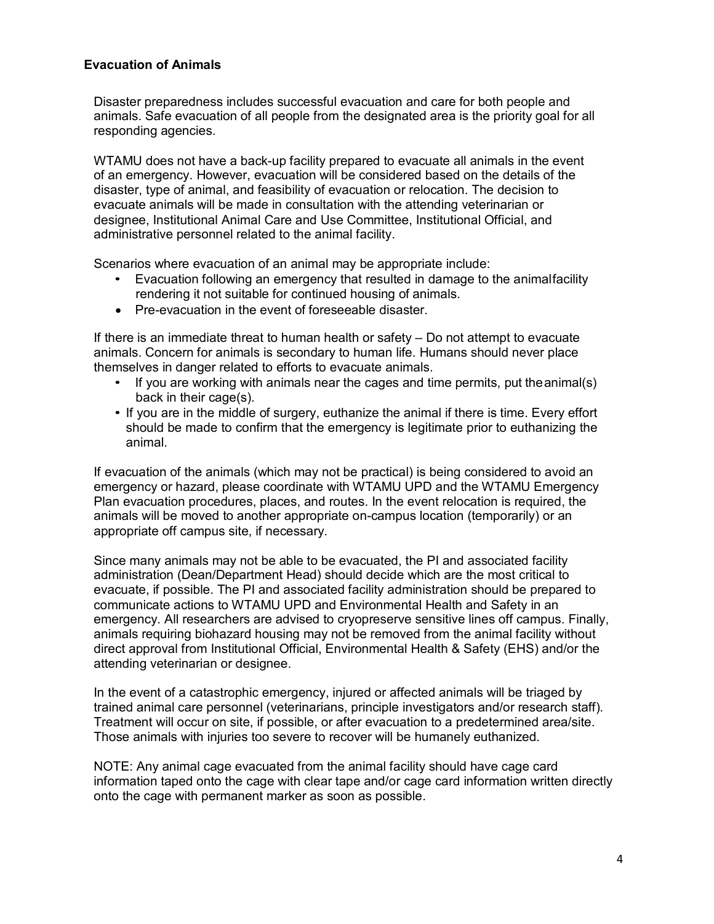## <span id="page-3-0"></span>**Evacuation of Animals**

Disaster preparedness includes successful evacuation and care for both people and animals. Safe evacuation of all people from the designated area is the priority goal for all responding agencies.

WTAMU does not have a back-up facility prepared to evacuate all animals in the event of an emergency. However, evacuation will be considered based on the details of the disaster, type of animal, and feasibility of evacuation or relocation. The decision to evacuate animals will be made in consultation with the attending veterinarian or designee, Institutional Animal Care and Use Committee, Institutional Official, and administrative personnel related to the animal facility.

Scenarios where evacuation of an animal may be appropriate include:

- Evacuation following an emergency that resulted in damage to the animalfacility rendering it not suitable for continued housing of animals.
- Pre-evacuation in the event of foreseeable disaster.

If there is an immediate threat to human health or safety – Do not attempt to evacuate animals. Concern for animals is secondary to human life. Humans should never place themselves in danger related to efforts to evacuate animals.

- If you are working with animals near the cages and time permits, put theanimal(s) back in their cage(s).
- If you are in the middle of surgery, euthanize the animal if there is time. Every effort should be made to confirm that the emergency is legitimate prior to euthanizing the animal.

If evacuation of the animals (which may not be practical) is being considered to avoid an emergency or hazard, please coordinate with WTAMU UPD and the WTAMU Emergency Plan evacuation procedures, places, and routes. In the event relocation is required, the animals will be moved to another appropriate on-campus location (temporarily) or an appropriate off campus site, if necessary.

Since many animals may not be able to be evacuated, the PI and associated facility administration (Dean/Department Head) should decide which are the most critical to evacuate, if possible. The PI and associated facility administration should be prepared to communicate actions to WTAMU UPD and Environmental Health and Safety in an emergency. All researchers are advised to cryopreserve sensitive lines off campus. Finally, animals requiring biohazard housing may not be removed from the animal facility without direct approval from Institutional Official, Environmental Health & Safety (EHS) and/or the attending veterinarian or designee.

In the event of a catastrophic emergency, injured or affected animals will be triaged by trained animal care personnel (veterinarians, principle investigators and/or research staff). Treatment will occur on site, if possible, or after evacuation to a predetermined area/site. Those animals with injuries too severe to recover will be humanely euthanized.

NOTE: Any animal cage evacuated from the animal facility should have cage card information taped onto the cage with clear tape and/or cage card information written directly onto the cage with permanent marker as soon as possible.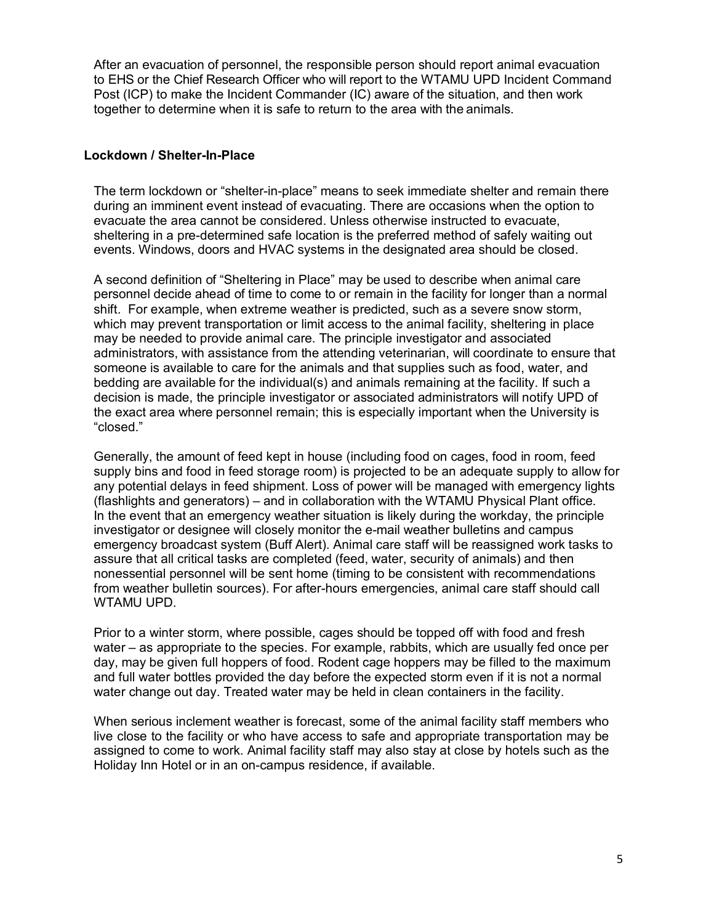After an evacuation of personnel, the responsible person should report animal evacuation to EHS or the Chief Research Officer who will report to the WTAMU UPD Incident Command Post (ICP) to make the Incident Commander (IC) aware of the situation, and then work together to determine when it is safe to return to the area with the animals.

#### <span id="page-4-0"></span>**Lockdown / Shelter-In-Place**

The term lockdown or "shelter-in-place" means to seek immediate shelter and remain there during an imminent event instead of evacuating. There are occasions when the option to evacuate the area cannot be considered. Unless otherwise instructed to evacuate, sheltering in a pre-determined safe location is the preferred method of safely waiting out events. Windows, doors and HVAC systems in the designated area should be closed.

A second definition of "Sheltering in Place" may be used to describe when animal care personnel decide ahead of time to come to or remain in the facility for longer than a normal shift. For example, when extreme weather is predicted, such as a severe snow storm, which may prevent transportation or limit access to the animal facility, sheltering in place may be needed to provide animal care. The principle investigator and associated administrators, with assistance from the attending veterinarian, will coordinate to ensure that someone is available to care for the animals and that supplies such as food, water, and bedding are available for the individual(s) and animals remaining at the facility. If such a decision is made, the principle investigator or associated administrators will notify UPD of the exact area where personnel remain; this is especially important when the University is "closed."

Generally, the amount of feed kept in house (including food on cages, food in room, feed supply bins and food in feed storage room) is projected to be an adequate supply to allow for any potential delays in feed shipment. Loss of power will be managed with emergency lights (flashlights and generators) – and in collaboration with the WTAMU Physical Plant office. In the event that an emergency weather situation is likely during the workday, the principle investigator or designee will closely monitor the e-mail weather bulletins and campus emergency broadcast system (Buff Alert). Animal care staff will be reassigned work tasks to assure that all critical tasks are completed (feed, water, security of animals) and then nonessential personnel will be sent home (timing to be consistent with recommendations from weather bulletin sources). For after-hours emergencies, animal care staff should call WTAMU UPD.

Prior to a winter storm, where possible, cages should be topped off with food and fresh water – as appropriate to the species. For example, rabbits, which are usually fed once per day, may be given full hoppers of food. Rodent cage hoppers may be filled to the maximum and full water bottles provided the day before the expected storm even if it is not a normal water change out day. Treated water may be held in clean containers in the facility.

When serious inclement weather is forecast, some of the animal facility staff members who live close to the facility or who have access to safe and appropriate transportation may be assigned to come to work. Animal facility staff may also stay at close by hotels such as the Holiday Inn Hotel or in an on-campus residence, if available.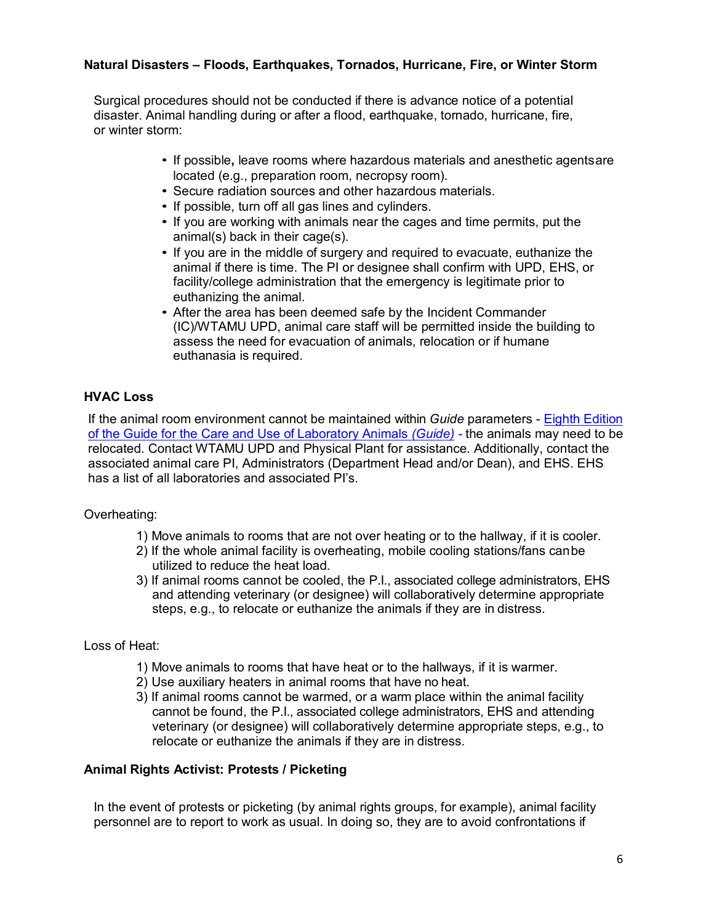# <span id="page-5-0"></span>**Natural Disasters – Floods, Earthquakes, Tornados, Hurricane, Fire, or Winter Storm**

Surgical procedures should not be conducted if there is advance notice of a potential disaster. Animal handling during or after a flood, earthquake, tornado, hurricane, fire, or winter storm:

- If possible**,** leave rooms where hazardous materials and anesthetic agentsare located (e.g., preparation room, necropsy room).
- Secure radiation sources and other hazardous materials.
- If possible, turn off all gas lines and cylinders.
- If you are working with animals near the cages and time permits, put the animal(s) back in their cage(s).
- If you are in the middle of surgery and required to evacuate, euthanize the animal if there is time. The PI or designee shall confirm with UPD, EHS, or facility/college administration that the emergency is legitimate prior to euthanizing the animal.
- After the area has been deemed safe by the Incident Commander (IC)/WTAMU UPD, animal care staff will be permitted inside the building to assess the need for evacuation of animals, relocation or if humane euthanasia is required.

# <span id="page-5-1"></span>**HVAC Loss**

If the animal room environment cannot be maintained within *Guide* parameters - [Eighth Edition](http://www.nap.edu/openbook.php?record_id=5140) [of the Guide for the Care and Use of Laboratory Animals](http://www.nap.edu/openbook.php?record_id=5140) *(Guide) -* the animals may need to be relocated. Contact WTAMU UPD and Physical Plant for assistance. Additionally, contact the associated animal care PI, Administrators (Department Head and/or Dean), and EHS. EHS has a list of all laboratories and associated PI's.

<span id="page-5-2"></span>Overheating:

- 1) Move animals to rooms that are not over heating or to the hallway, if it is cooler.
- 2) If the whole animal facility is overheating, mobile cooling stations/fans canbe utilized to reduce the heat load.
- 3) If animal rooms cannot be cooled, the P.I., associated college administrators, EHS and attending veterinary (or designee) will collaboratively determine appropriate steps, e.g., to relocate or euthanize the animals if they are in distress.

<span id="page-5-3"></span>Loss of Heat:

- 1) Move animals to rooms that have heat or to the hallways, if it is warmer.
- 2) Use auxiliary heaters in animal rooms that have no heat.
- 3) If animal rooms cannot be warmed, or a warm place within the animal facility cannot be found, the P.I., associated college administrators, EHS and attending veterinary (or designee) will collaboratively determine appropriate steps, e.g., to relocate or euthanize the animals if they are in distress.

# <span id="page-5-4"></span>**Animal Rights Activist: Protests / Picketing**

In the event of protests or picketing (by animal rights groups, for example), animal facility personnel are to report to work as usual. In doing so, they are to avoid confrontations if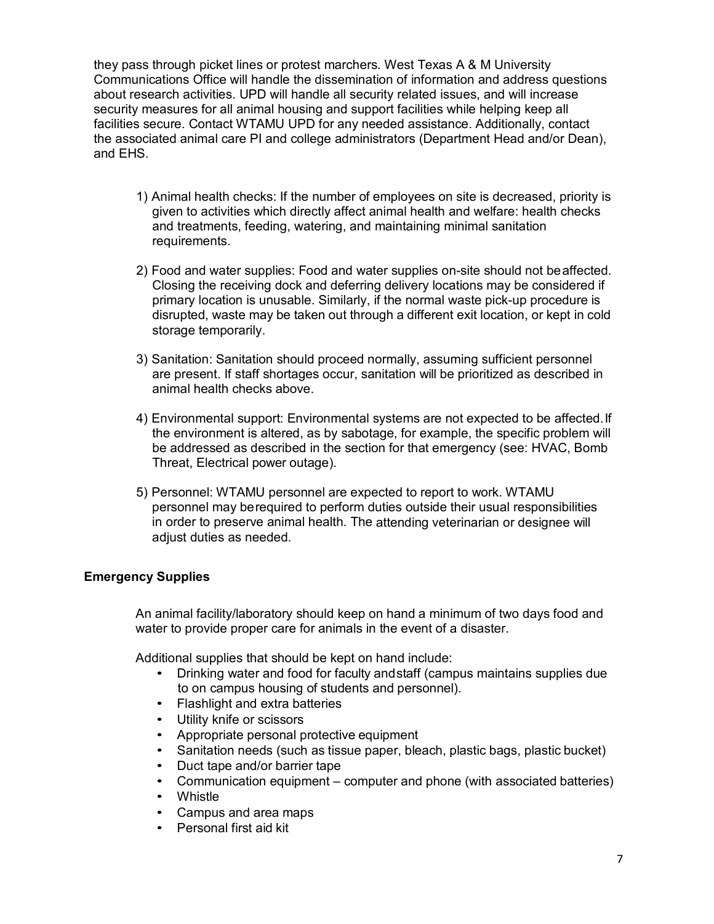they pass through picket lines or protest marchers. West Texas A & M University Communications Office will handle the dissemination of information and address questions about research activities. UPD will handle all security related issues, and will increase security measures for all animal housing and support facilities while helping keep all facilities secure. Contact WTAMU UPD for any needed assistance. Additionally, contact the associated animal care PI and college administrators (Department Head and/or Dean), and EHS.

- 1) Animal health checks: If the number of employees on site is decreased, priority is given to activities which directly affect animal health and welfare: health checks and treatments, feeding, watering, and maintaining minimal sanitation requirements.
- 2) Food and water supplies: Food and water supplies on-site should not beaffected. Closing the receiving dock and deferring delivery locations may be considered if primary location is unusable. Similarly, if the normal waste pick-up procedure is disrupted, waste may be taken out through a different exit location, or kept in cold storage temporarily.
- 3) Sanitation: Sanitation should proceed normally, assuming sufficient personnel are present. If staff shortages occur, sanitation will be prioritized as described in animal health checks above.
- 4) Environmental support: Environmental systems are not expected to be affected.If the environment is altered, as by sabotage, for example, the specific problem will be addressed as described in the section for that emergency (see: HVAC, Bomb Threat, Electrical power outage).
- 5) Personnel: WTAMU personnel are expected to report to work. WTAMU personnel may berequired to perform duties outside their usual responsibilities in order to preserve animal health. The attending veterinarian or designee will adjust duties as needed.

## <span id="page-6-0"></span>**Emergency Supplies**

An animal facility/laboratory should keep on hand a minimum of two days food and water to provide proper care for animals in the event of a disaster.

Additional supplies that should be kept on hand include:

- Drinking water and food for faculty andstaff (campus maintains supplies due to on campus housing of students and personnel).
- Flashlight and extra batteries
- Utility knife or scissors
- Appropriate personal protective equipment
- Sanitation needs (such as tissue paper, bleach, plastic bags, plastic bucket)
- Duct tape and/or barrier tape
- Communication equipment computer and phone (with associated batteries)
- Whistle
- Campus and area maps
- Personal first aid kit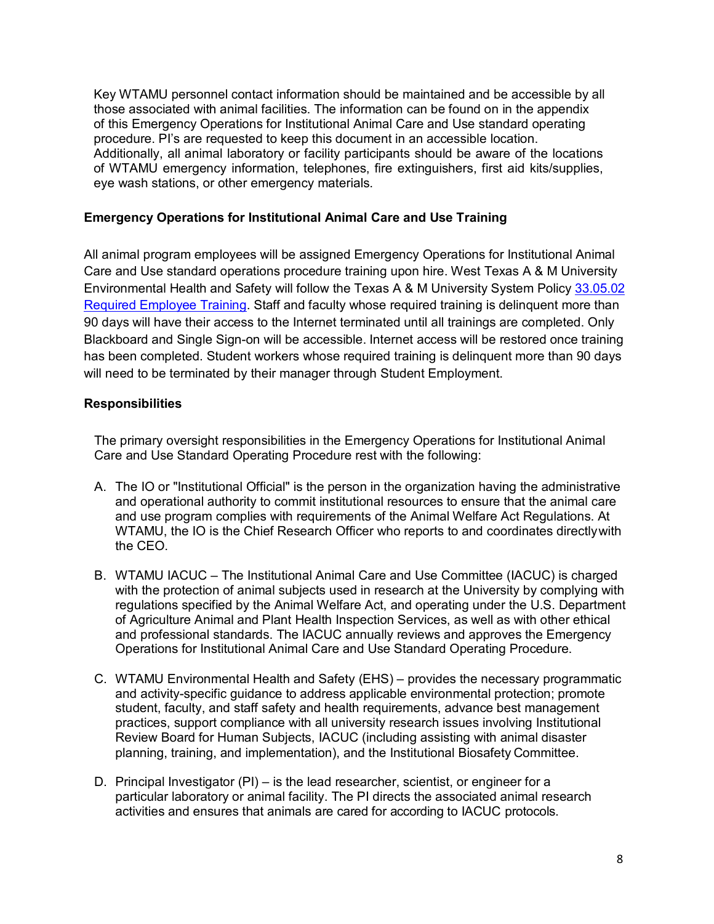Key WTAMU personnel contact information should be maintained and be accessible by all those associated with animal facilities. The information can be found on in the appendix of this Emergency Operations for Institutional Animal Care and Use standard operating procedure. PI's are requested to keep this document in an accessible location. Additionally, all animal laboratory or facility participants should be aware of the locations of WTAMU emergency information, telephones, fire extinguishers, first aid kits/supplies, eye wash stations, or other emergency materials.

#### <span id="page-7-0"></span>**Emergency Operations for Institutional Animal Care and Use Training**

All animal program employees will be assigned Emergency Operations for Institutional Animal Care and Use standard operations procedure training upon hire. West Texas A & M University Environmental Health and Safety will follow the Texas A & M University System Policy [33.05.02](http://policies.tamus.edu/33-05-02.pdf) [Required Employee Training.](http://policies.tamus.edu/33-05-02.pdf) Staff and faculty whose required training is delinquent more than 90 days will have their access to the Internet terminated until all trainings are completed. Only Blackboard and Single Sign-on will be accessible. Internet access will be restored once training has been completed. Student workers whose required training is delinquent more than 90 days will need to be terminated by their manager through Student Employment.

#### <span id="page-7-1"></span>**Responsibilities**

The primary oversight responsibilities in the Emergency Operations for Institutional Animal Care and Use Standard Operating Procedure rest with the following:

- A. The IO or "Institutional Official" is the person in the organization having the administrative and operational authority to commit institutional resources to ensure that the animal care and use program complies with requirements of the Animal Welfare Act Regulations. At WTAMU, the IO is the Chief Research Officer who reports to and coordinates directlywith the CEO.
- B. WTAMU IACUC The Institutional Animal Care and Use Committee (IACUC) is charged with the protection of animal subjects used in research at the University by complying with regulations specified by the Animal Welfare Act, and operating under the U.S. Department of Agriculture Animal and Plant Health Inspection Services, as well as with other ethical and professional standards. The IACUC annually reviews and approves the Emergency Operations for Institutional Animal Care and Use Standard Operating Procedure.
- C. WTAMU Environmental Health and Safety (EHS) provides the necessary programmatic and activity-specific guidance to address applicable environmental protection; promote student, faculty, and staff safety and health requirements, advance best management practices, support compliance with all university research issues involving Institutional Review Board for Human Subjects, IACUC (including assisting with animal disaster planning, training, and implementation), and the Institutional Biosafety Committee.
- D. Principal Investigator (PI) is the lead researcher, scientist, or engineer for a particular laboratory or animal facility. The PI directs the associated animal research activities and ensures that animals are cared for according to IACUC protocols.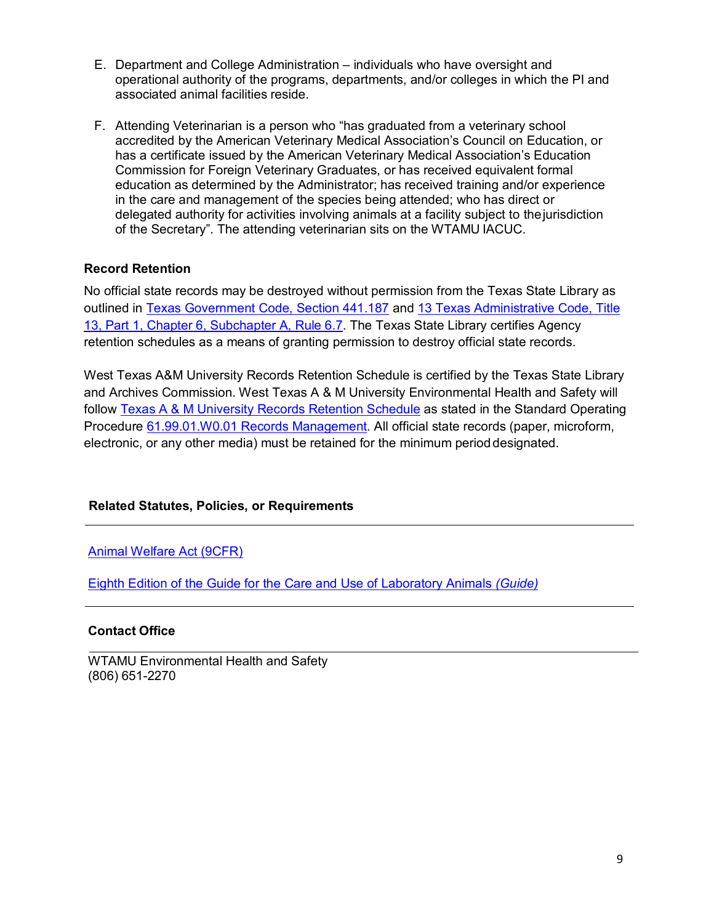- E. Department and College Administration individuals who have oversight and operational authority of the programs, departments, and/or colleges in which the PI and associated animal facilities reside.
- F. Attending Veterinarian is a person who "has graduated from a veterinary school accredited by the American Veterinary Medical Association's Council on Education, or has a certificate issued by the American Veterinary Medical Association's Education Commission for Foreign Veterinary Graduates, or has received equivalent formal education as determined by the Administrator; has received training and/or experience in the care and management of the species being attended; who has direct or delegated authority for activities involving animals at a facility subject to thejurisdiction of the Secretary". The attending veterinarian sits on the WTAMU IACUC.

# <span id="page-8-0"></span>**Record Retention**

No official state records may be destroyed without permission from the Texas State Library as outlined in [Texas Government Code, Section 441.187](http://www.statutes.legis.state.tx.us/?link=GV) and [13 Texas Administrative Code, Title](http://info.sos.state.tx.us/pls/pub/readtac%24ext.TacPage?sl=R&app=9&p_dir&p_rloc&p_tloc&p_ploc&pg=1&p_tac&ti=13&pt=1&ch=6&rl=7U) [13, Part 1, Chapter 6, Subchapter A, Rule 6.7.](http://info.sos.state.tx.us/pls/pub/readtac%24ext.TacPage?sl=R&app=9&p_dir&p_rloc&p_tloc&p_ploc&pg=1&p_tac&ti=13&pt=1&ch=6&rl=7U) The Texas State Library certifies Agency retention schedules as a means of granting permission to destroy official state records.

West Texas A&M University Records Retention Schedule is certified by the Texas State Library and Archives Commission. West Texas A & M University Environmental Health and Safety will follow [Texas A & M University Records Retention Schedule](http://www.wtamu.edu/webres/File/Risk%20Management/System-Records-Retention-Schedule-Dec2012.pdf) as stated in the Standard Operating Procedure [61.99.01.W0.01 Records Management.](http://www.wtamu.edu/webres/File/Risk%20Management/61.99.01.W0.01_PROCEDURE_Records%20Management_FINAL%20SIGNED.pdf) All official state records (paper, microform, electronic, or any other media) must be retained for the minimum period designated.

## **Related Statutes, Policies, or Requirements**

[Animal Welfare Act \(9CFR\)](http://www.aphis.usda.gov/animal_welfare/downloads/awa/awa.pdf)

[Eighth Edition of the Guide for the Care and Use of Laboratory Animals](http://www.nap.edu/openbook.php?record_id=5140) *(Guide)*

## **Contact Office**

WTAMU Environmental Health and Safety (806) 651-2270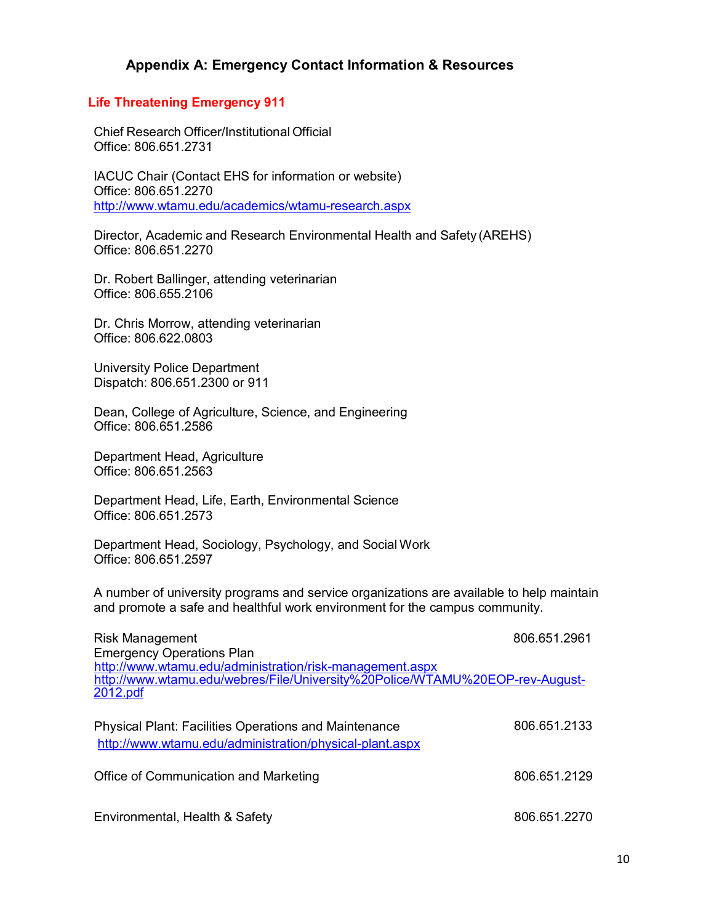# **Appendix A: Emergency Contact Information & Resources**

#### <span id="page-9-0"></span>**Life Threatening Emergency 911**

Chief Research Officer/Institutional Official Office: 806.651.2731

IACUC Chair (Contact EHS for information or website) Office: 806.651.2270 <http://www.wtamu.edu/academics/wtamu-research.aspx>

Director, Academic and Research Environmental Health and Safety (AREHS) Office: 806.651.2270

Dr. Robert Ballinger, attending veterinarian Office: 806.655.2106

Dr. Chris Morrow, attending veterinarian Office: 806.622.0803

University Police Department Dispatch: 806.651.2300 or 911

Dean, College of Agriculture, Science, and Engineering Office: 806.651.2586

Department Head, Agriculture Office: 806.651.2563

Department Head, Life, Earth, Environmental Science Office: 806.651.2573

Department Head, Sociology, Psychology, and Social Work Office: 806.651.2597

A number of university programs and service organizations are available to help maintain and promote a safe and healthful work environment for the campus community.

| <b>Risk Management</b>                                                                                                  | 806.651.2961 |
|-------------------------------------------------------------------------------------------------------------------------|--------------|
| <b>Emergency Operations Plan</b>                                                                                        |              |
| http://www.wtamu.edu/administration/risk-management.aspx                                                                |              |
| http://www.wtamu.edu/webres/File/University%20Police/WTAMU%20EOP-rev-August-                                            |              |
| 2012.pdf                                                                                                                |              |
| <b>Physical Plant: Facilities Operations and Maintenance</b><br>http://www.wtamu.edu/administration/physical-plant.aspx | 806.651.2133 |
| Office of Communication and Marketing                                                                                   | 806.651.2129 |
| Environmental, Health & Safety                                                                                          | 806.651.2270 |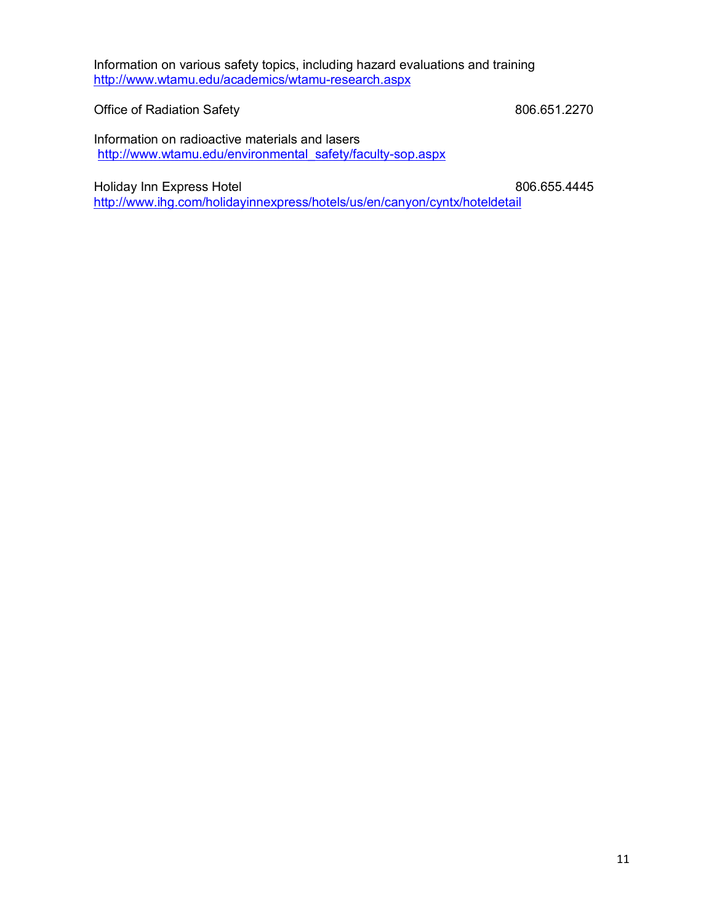Information on various safety topics, including hazard evaluations and training <http://www.wtamu.edu/academics/wtamu-research.aspx>

# Office of Radiation Safety 806.651.2270

Information on radioactive materials and lasers [http://www.wtamu.edu/environmental\\_safety/faculty-sop.aspx](http://www.wtamu.edu/environmental_safety/faculty-sop.aspx)

Holiday Inn Express Hotel 806.655.4445

<http://www.ihg.com/holidayinnexpress/hotels/us/en/canyon/cyntx/hoteldetail>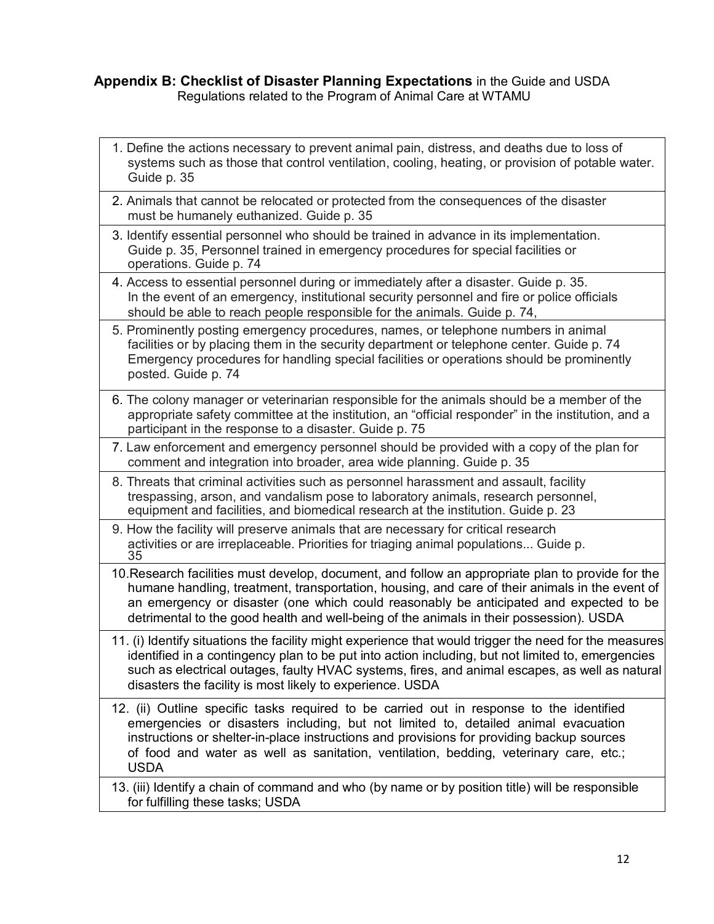# <span id="page-11-0"></span>**Appendix B: Checklist of Disaster Planning Expectations** in the Guide and USDA Regulations related to the Program of Animal Care at WTAMU

| 1. Define the actions necessary to prevent animal pain, distress, and deaths due to loss of<br>systems such as those that control ventilation, cooling, heating, or provision of potable water.<br>Guide p. 35                                                                                                                                                                           |
|------------------------------------------------------------------------------------------------------------------------------------------------------------------------------------------------------------------------------------------------------------------------------------------------------------------------------------------------------------------------------------------|
| 2. Animals that cannot be relocated or protected from the consequences of the disaster<br>must be humanely euthanized. Guide p. 35                                                                                                                                                                                                                                                       |
| 3. Identify essential personnel who should be trained in advance in its implementation.<br>Guide p. 35, Personnel trained in emergency procedures for special facilities or<br>operations. Guide p. 74                                                                                                                                                                                   |
| 4. Access to essential personnel during or immediately after a disaster. Guide p. 35.<br>In the event of an emergency, institutional security personnel and fire or police officials<br>should be able to reach people responsible for the animals. Guide p. 74,                                                                                                                         |
| 5. Prominently posting emergency procedures, names, or telephone numbers in animal<br>facilities or by placing them in the security department or telephone center. Guide p. 74<br>Emergency procedures for handling special facilities or operations should be prominently<br>posted. Guide p. 74                                                                                       |
| 6. The colony manager or veterinarian responsible for the animals should be a member of the<br>appropriate safety committee at the institution, an "official responder" in the institution, and a<br>participant in the response to a disaster. Guide p. 75                                                                                                                              |
| 7. Law enforcement and emergency personnel should be provided with a copy of the plan for<br>comment and integration into broader, area wide planning. Guide p. 35                                                                                                                                                                                                                       |
| 8. Threats that criminal activities such as personnel harassment and assault, facility<br>trespassing, arson, and vandalism pose to laboratory animals, research personnel,<br>equipment and facilities, and biomedical research at the institution. Guide p. 23                                                                                                                         |
| 9. How the facility will preserve animals that are necessary for critical research<br>activities or are irreplaceable. Priorities for triaging animal populations Guide p.<br>35                                                                                                                                                                                                         |
| 10. Research facilities must develop, document, and follow an appropriate plan to provide for the<br>humane handling, treatment, transportation, housing, and care of their animals in the event of<br>an emergency or disaster (one which could reasonably be anticipated and expected to be<br>detrimental to the good health and well-being of the animals in their possession). USDA |
| 11. (i) Identify situations the facility might experience that would trigger the need for the measures<br>identified in a contingency plan to be put into action including, but not limited to, emergencies<br>such as electrical outages, faulty HVAC systems, fires, and animal escapes, as well as natural<br>disasters the facility is most likely to experience. USDA               |
| 12. (ii) Outline specific tasks required to be carried out in response to the identified<br>emergencies or disasters including, but not limited to, detailed animal evacuation<br>instructions or shelter-in-place instructions and provisions for providing backup sources<br>of food and water as well as sanitation, ventilation, bedding, veterinary care, etc.;<br><b>USDA</b>      |
| 13. (iii) Identify a chain of command and who (by name or by position title) will be responsible<br>for fulfilling these tasks; USDA                                                                                                                                                                                                                                                     |